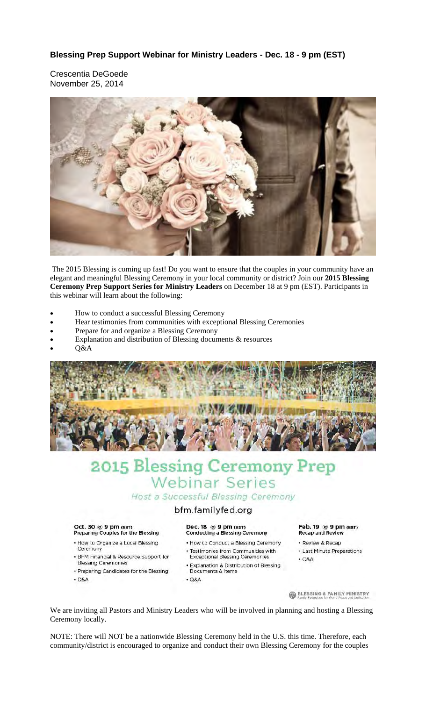Crescentia DeGoede November 25, 2014



 The 2015 Blessing is coming up fast! Do you want to ensure that the couples in your community have an elegant and meaningful Blessing Ceremony in your local community or district? Join our **2015 Blessing Ceremony Prep Support Series for Ministry Leaders** on December 18 at 9 pm (EST). Participants in this webinar will learn about the following:

- How to conduct a successful Blessing Ceremony
- Hear testimonies from communities with exceptional Blessing Ceremonies
- Prepare for and organize a Blessing Ceremony
- Explanation and distribution of Blessing documents & resources
- Q&A



# 2015 Blessing Ceremony Prep **Webinar Series** Host a Successful Blessing Ceremony

# bfm.familyfed.org

#### Oct. 30 @ 9 pm (EST) Preparing Couples for the Blessing

- How to Organize a Local Blessing Ceremony
- · BFM Financial & Resource Support for **Blessing Ceremonies**
- · Preparing Candidates for the Blessing
- $Q8A$

### Dec. 18 @ 9 pm (EST) **Conducting a Blessing Ceremony**

- . How to Conduct a Blessing Ceremony
- Testimonies from Communities with<br>Exceptional Blessing Ceremonies
- Explanation & Distribution of Blessing
- Documents & Items
- $Q8A$

#### Feb. 19 @ 9 pm (EST) **Recap and Review**

- · Review & Recap
- Last Minute Preparations
- $\cdot$  Q&A

**BLESSING & FAMILY MINISTRY** 

We are inviting all Pastors and Ministry Leaders who will be involved in planning and hosting a Blessing Ceremony locally.

NOTE: There will NOT be a nationwide Blessing Ceremony held in the U.S. this time. Therefore, each community/district is encouraged to organize and conduct their own Blessing Ceremony for the couples